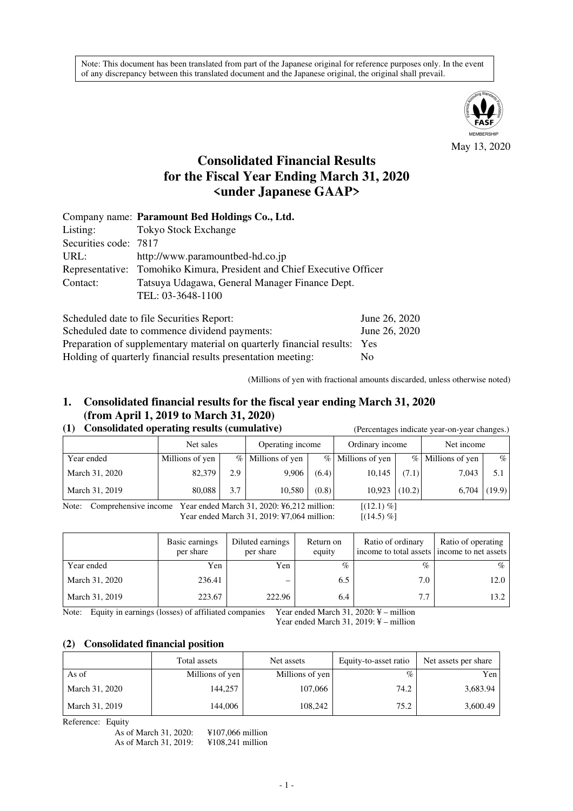Note: This document has been translated from part of the Japanese original for reference purposes only. In the event of any discrepancy between this translated document and the Japanese original, the original shall prevail.



May 13, 2020

# **Consolidated Financial Results for the Fiscal Year Ending March 31, 2020 <under Japanese GAAP>**

|                       | Company name: Paramount Bed Holdings Co., Ltd.                         |
|-----------------------|------------------------------------------------------------------------|
| Listing:              | <b>Tokyo Stock Exchange</b>                                            |
| Securities code: 7817 |                                                                        |
| URL:                  | http://www.paramountbed-hd.co.jp                                       |
|                       | Representative: Tomohiko Kimura, President and Chief Executive Officer |
| Contact:              | Tatsuya Udagawa, General Manager Finance Dept.                         |
|                       | TEL: 03-3648-1100                                                      |
|                       |                                                                        |

| Scheduled date to file Securities Report:                                 | June 26, 2020 |
|---------------------------------------------------------------------------|---------------|
| Scheduled date to commence dividend payments:                             | June 26, 2020 |
| Preparation of supplementary material on quarterly financial results: Yes |               |
| Holding of quarterly financial results presentation meeting:              | No.           |

(Millions of yen with fractional amounts discarded, unless otherwise noted)

# **1. Consolidated financial results for the fiscal year ending March 31, 2020 (from April 1, 2019 to March 31, 2020)**

### **(1) Consolidated operating results (cumulative)** (Percentages indicate year-on-year changes.)

|                                                                                                       | Net sales       |     | Operating income  |       | Ordinary income   |       | Net income          |        |
|-------------------------------------------------------------------------------------------------------|-----------------|-----|-------------------|-------|-------------------|-------|---------------------|--------|
| Year ended                                                                                            | Millions of yen |     | % Millions of yen |       | % Millions of yen |       | $%$ Millions of yen | $\%$   |
| March 31, 2020                                                                                        | 82,379          | 2.9 | 9.906             | (6.4) | 10,145            | (7.1) | 7,043               | 5.1    |
| March 31, 2019                                                                                        | 80,088          | 3.7 | 10.580            | (0.8) | $10,923$ (10.2)   |       | 6,704               | (19.9) |
| Vear anded March $31, 2020$ ; $K6$ $212$ million;<br>$1/12$ 1) $0/1$<br>$Nofa$ , Comprehensive income |                 |     |                   |       |                   |       |                     |        |

Comprehensive income Year ended March 31, 2020:  $\frac{1}{2}$  million: [(12.1) %] Year ended March 31, 2019: ¥7,064 million: [(14.5) %]

Basic earnings per share Diluted earnings per share Return on equity Ratio of ordinary income to total assets Ratio of operating income to net assets Year ended Yen Yen % % % March 31, 2020 236.41 – 6.5 7.0 7.0 12.0 March 31, 2019 223.67 222.96 6.4 7.7 13.2

Note: Equity in earnings (losses) of affiliated companies Year ended March 31, 2020: ¥ – million

Year ended March 31, 2019: ¥ – million

### **(2) Consolidated financial position**

|                | Total assets    | Net assets      | Equity-to-asset ratio | Net assets per share |
|----------------|-----------------|-----------------|-----------------------|----------------------|
| As of          | Millions of yen | Millions of yen | $\%$                  | Yen                  |
| March 31, 2020 | 144,257         | 107,066         | 74.2                  | 3,683.94             |
| March 31, 2019 | 144.006         | 108.242         | 75.2                  | 3,600.49             |

Reference: Equity

As of March 31, 2020: ¥107,066 million<br>As of March 31, 2019: ¥108,241 million As of March 31, 2019: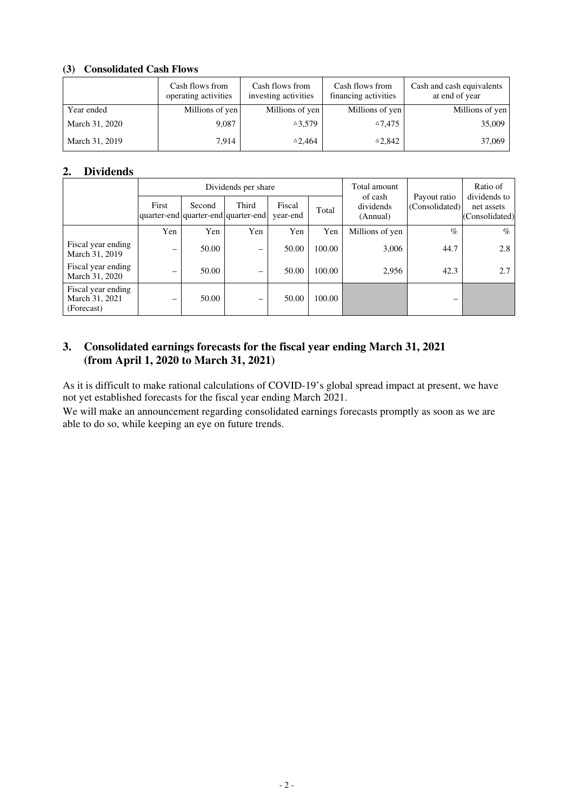### **(3) Consolidated Cash Flows**

|                | Cash flows from<br>operating activities | Cash flows from<br>investing activities | Cash flows from<br>financing activities | Cash and cash equivalents<br>at end of year |
|----------------|-----------------------------------------|-----------------------------------------|-----------------------------------------|---------------------------------------------|
| Year ended     | Millions of yen                         | Millions of yen                         | Millions of yen                         | Millions of yen                             |
| March 31, 2020 | 9,087                                   | $^{\triangle}3.579$                     | $^{\triangle}7.475$                     | 35,009                                      |
| March 31, 2019 | 7.914                                   | $\triangle 2.464$                       | $\triangle 2,842$                       | 37,069                                      |

### **2. Dividends**

|                                                    |                 |        | Dividends per share                          |                    |        | Total amount                     | Payout ratio<br>(Consolidated) | Ratio of<br>dividends to<br>net assets<br>(Consolidated) |
|----------------------------------------------------|-----------------|--------|----------------------------------------------|--------------------|--------|----------------------------------|--------------------------------|----------------------------------------------------------|
|                                                    | First           | Second | Third<br>quarter-end quarter-end quarter-end | Fiscal<br>year-end | Total  | of cash<br>dividends<br>(Annual) |                                |                                                          |
|                                                    | Yen             | Yen    | Yen                                          | Yen                | Yen    | Millions of yen                  | $\%$                           | $\%$                                                     |
| Fiscal year ending<br>March 31, 2019               | $\qquad \qquad$ | 50.00  | $\qquad \qquad$                              | 50.00              | 100.00 | 3,006                            | 44.7                           | 2.8                                                      |
| Fiscal year ending<br>March 31, 2020               | –               | 50.00  | $\overline{\phantom{0}}$                     | 50.00              | 100.00 | 2,956                            | 42.3                           | 2.7                                                      |
| Fiscal year ending<br>March 31, 2021<br>(Forecast) | $\qquad \qquad$ | 50.00  | $\overline{\phantom{0}}$                     | 50.00              | 100.00 |                                  |                                |                                                          |

## **3. Consolidated earnings forecasts for the fiscal year ending March 31, 2021 (from April 1, 2020 to March 31, 2021)**

As it is difficult to make rational calculations of COVID-19's global spread impact at present, we have not yet established forecasts for the fiscal year ending March 2021.

We will make an announcement regarding consolidated earnings forecasts promptly as soon as we are able to do so, while keeping an eye on future trends.